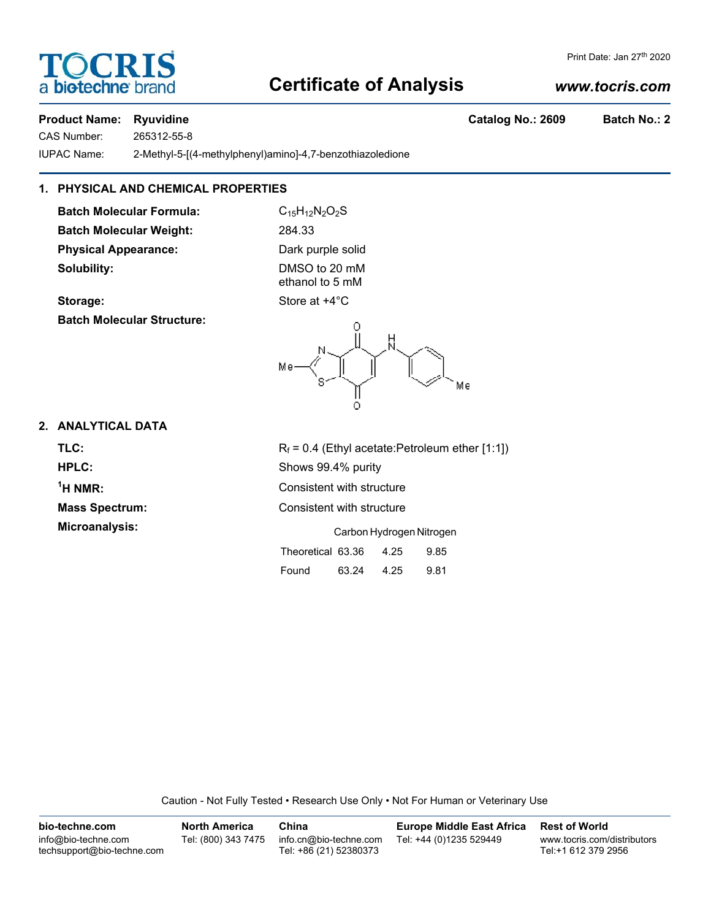# **Certificate of Analysis**

#### *www.tocris.com*

#### **Product Name: Ryuvidine Catalog No.: 2609 Batch No.: 2**

**DCRI** 

a **biotechne** b

CAS Number: 265312-55-8

IUPAC Name: 2-Methyl-5-[(4-methylphenyl)amino]-4,7-benzothiazoledione

#### **1. PHYSICAL AND CHEMICAL PROPERTIES**

**Batch Molecular Formula:** C<sub>15</sub>H<sub>12</sub>N<sub>2</sub>O<sub>2</sub>S **Batch Molecular Weight:** 284.33 **Physical Appearance:** Dark purple solid **Solubility:** DMSO to 20 mM

ethanol to 5 mM





#### **2. ANALYTICAL DATA**

**TLC:**  $R_f = 0.4$  (Ethyl acetate:Petroleum ether [1:1]) **HPLC:** Shows 99.4% purity  $<sup>1</sup>H NMR$ :</sup> **Consistent with structure Mass Spectrum:** Consistent with structure **Microanalysis:** Carbon Hydrogen Nitrogen

Theoretical 63.36 4.25 9.85

Found 63.24 4.25 9.81

Caution - Not Fully Tested • Research Use Only • Not For Human or Veterinary Use

| bio-techne.com                                    | <b>North America</b> | China                                            | <b>Europe Middle East Africa</b> | <b>Rest of World</b>                               |
|---------------------------------------------------|----------------------|--------------------------------------------------|----------------------------------|----------------------------------------------------|
| info@bio-techne.com<br>techsupport@bio-techne.com | Tel: (800) 343 7475  | info.cn@bio-techne.com<br>Tel: +86 (21) 52380373 | Tel: +44 (0)1235 529449          | www.tocris.com/distributors<br>Tel:+1 612 379 2956 |